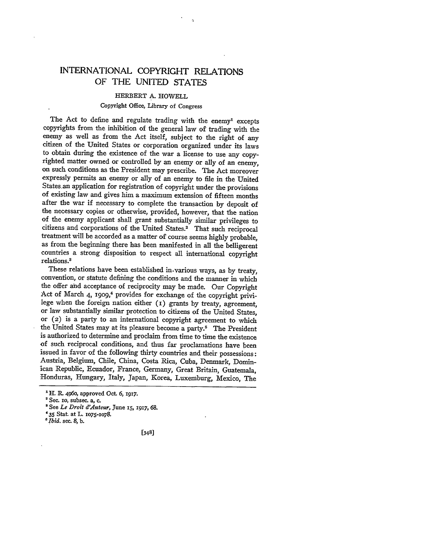## INTERNATIONAL COPYRIGHT RELATIONS OF THE **UNITED STATES**

## HERBERT A. HOWELL

## Copyright Office, Library of Congress

The Act to define and regulate trading with the enemy<sup>1</sup> excepts copyrights from the inhibition of the general law of trading with the enemy as well as from the Act itself, subject to the right of any citizen of the United States or corporation organized under its laws to obtain during the existence of the war a license to use any copyrighted matter owned or controlled by an enemy or ally of an enemy, on such conditions as the President may prescribe. The Act moreover expressly permits an enemy or ally of an enemy to file in the United States.an application for registration of copyright under the provisions of existing law and gives him a maximum extension of fifteen months after the war if necessary to complete the transaction by deposit of the necessary copies or otherwise, provided, however, that the nation of the enemy applicant shall grant substantially similar privileges to citizens and corporations of the United States.<sup>2</sup> That such reciprocal treatment will be accorded as a matter of course seems highly probable, as from the beginning there has been manifested in all the belligerent countries a strong disposition to respect all international copyright relations.3

These relations have been established in-various ways, as by treaty, convention, or statute defining the conditions and the manner in which the offer and acceptance of reciprocity may be made. Our Copyright Act of March 4, 1909,<sup>4</sup> provides for exchange of the copyright privilege when the foreign nation either (i) grants by treaty, agreement, or law substantially similar protection to citizens of the United States, or (2) is a party to an international copyright agreement to which the United States may at its pleasure become a party.<sup>5</sup> The President is authorized to determine and proclaim from time to time the existence of such reciprocal conditions, and thus far proclamations have been issued in favor of the following thirty countries and their possessions: Austria, Belgium, Chile, China, Costa Rica, Cuba, Denmark, Dominican Republic, Ecuador, France, Germany, Great Britain, Guatemala, Honduras, Hungary, Italy, Japan, Korea, Luxemburg, Mexico, The

*'lbid.* sec. 8, b.

[348]

**<sup>I</sup>**H. **R.** 4960, approved Oct **6,** 1917.

<sup>&</sup>lt;sup>2</sup> Sec. 10, subsec. a, c.

<sup>&</sup>lt;sup>3</sup> See *Le Droit d'Auteur,* June 15, 1917, 68.<br><sup>4</sup> 35 Stat. at L. 1075-1078.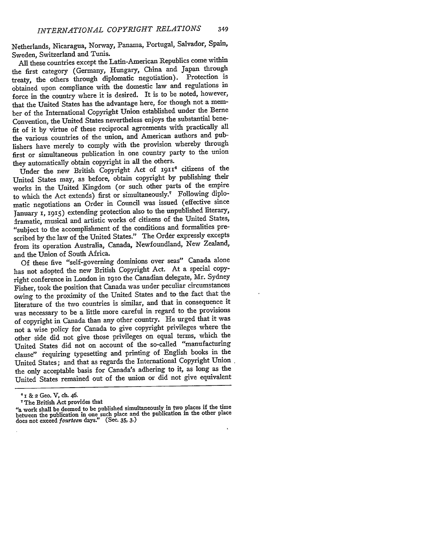Netherlands, Nicaragua, Norway, Panama, Portugal, Salvador, Spain, Sweden, Switzerland and Tunis.

All these countries except the Latin-American Republics come within the first category (Germany, Hungary, China and Japan through treaty, the others through diplomatic negotiation). Protection is obtained upon compliance with the domestic law and regulations in force in the country where it is desired. It is to be noted, however, that the United States has the advantage here, for though not a member of the International Copyright Union established under the Berne Convention, the United States nevertheless enjoys the substantial benefit of it by virtue of these reciprocal agreements with practically all the various countries of the union, and American authors and publishers have merely to comply with the provision whereby through first or simultaneous publication in one country party to the union they automatically obtain copyright in all the others.

Under the new British Copyright Act of 19116 citizens of the United States may, as before, obtain copyright by publishing their works in the United Kingdom (or such other parts of the empire to which the Act extends) first or simultaneously.7 Following diplomatic negotiations an Order in Council was issued (effective since January **I,** 1915) extending protection also to the unpublished literary, dramatic, musical and artistic works of citizens of the United States, "subject to the accomplishment of the conditions and formalities prescribed by the law of the United States." The Order expressly excepts from its operation Australia, Canada, Newfoundland, New Zealand, and the Union of South Africa.

Of these five "self-governing dominions over seas" Canada alone has not adopted the new British Copyright Act. At a special copyright conference in London in i9IO the Canadian delegate, Mr. Sydney Fisher, took the position that Canada was under peculiar circumstances owing to the proximity of the United States and to the fact that the literature of the two countries is similar, and that in consequence it was necessary to be a little more careful in regard to the provisions of copyright in Canada than any other country. He urged that it was not a wise policy for Canada to give copyright privileges where the other side did not give those privileges on equal terms, which the United States did not on account of the so-called "manufacturing clause" requiring typesetting and printing of English books in the United States; and that as regards the International Copyright Union the only acceptable basis for Canada's adhering to it, as long as the United States remained out of the union or did not give equivalent

**<sup>&#</sup>x27;I** & **2** Geo. V, ch. 46.

<sup>&#</sup>x27;The British Act provides that

<sup>&</sup>quot;a work shall be deemed to be published simultaneously in two places if the time between the publication in one such place and the publication in the other place does not exceed *fourteen* days." (Sec. 35, 3.)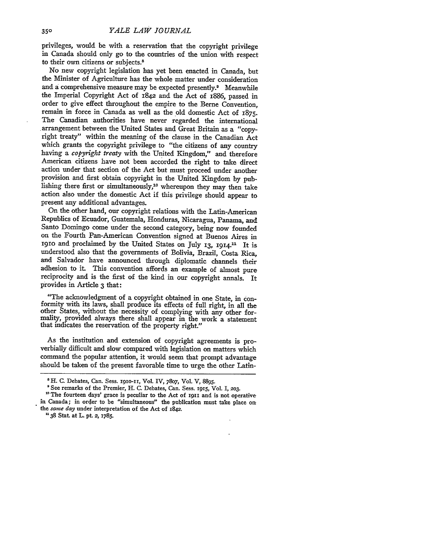privileges, would be with a reservation that the copyright privilege in Canada should only go to the countries of the union with respect to their own citizens or subjects.<sup>8</sup>

No new copyright legislation has yet been enacted in Canada, but the Minister of Agriculture has the whole matter under consideration and a comprehensive measure may be expected presently.9 Meanwhile the Imperial Copyright Act of i842 and the Act of 1886, passed in order to give effect throughout the empire to the Berne Convention, remain in force in Canada as well as the old domestic Act of **1875.** The Canadian authorities have never regarded the international arrangement between the United States and Great Britain as a "copyright treaty" within the meaning of the clause in the Canadian Act which grants the copyright privilege to "the citizens of any country having a *copyright treaty* with the United Kingdom," and therefore American citizens have not been accorded the right to take direct action under that section of the Act but must proceed under another provision and first obtain copyright in the United Kingdom by publishing there first or simultaneously,<sup>10</sup> whereupon they may then take action also under the domestic Act if this privilege should appear to present any additional advantages.

On the other hand, our copyright relations with the Latin-American Republics of Ecuador, Guatemala, Honduras, Nicaragua, Panama, and Santo Domingo come under the second category, being now founded on the Fourth Pan-American Convention signed at Buenos Aires in 1910 and proclaimed by the United States on July 13, 1914.<sup>11</sup> It is understood also that the governments of Bolivia, Brazil, Costa Rica, and Salvador have announced through diplomatic channels their adhesion to it. This convention affords an example of almost pure reciprocity and is the first of the kind in our copyright annals. It provides in Article 3 that:

"The acknowledgment of a copyright obtained in one State, in conformity with its laws, shall produce its effects of full right, in all the other States, without the necessity of complying with any other for- mality, provided always there shall appear in the work a statement that indicates the reservation of the property right."

As the institution and extension of copyright agreements is proverbially difficult and slow compared with legislation on matters which command the popular attention, it would seem that prompt advantage should be taken of the present favorable time to urge the other Latin-

**<sup>&#</sup>x27;H.** C. Debates, Can. Sess. **9o-1,** Vol. IV, **7807,** Vol. V, 8895.

<sup>&#</sup>x27;See remarks of the Premier, H. C. Debates, Can. Sess. **1915,** Vol. I, **203.** "

<sup>&</sup>lt;sup>10</sup> The fourteen days' grace is peculiar to the Act of **1911** and is not operative in Canada; in order to be "simultaneous" the publication must take place on: *the* same *day* under interpretation of the Act of 1842.

**<sup>38</sup>** Stat. at L. pt. **2,** 1785.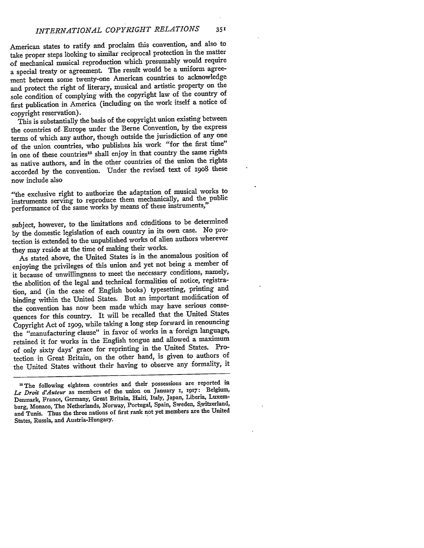American states to ratify and proclaim this convention, and also to take proper steps looking to similar reciprocal protection in the matter of mechanical musical reproduction which presumably would require a special treaty or agreement. The result would be a uniform agreement between some twenty-one American countries to acknowledge and protect the right of literary, musical and artistic property on the sole condition of complying with the copyright law of the country of first publication in America (including on the work itself a notice of copyright reservation).

This is substantially the basis of the copyright union existing between the countries of Europe under the Berne Convention, by the express terms of which any author, though outside the jurisdiction of any one of the union countries, who publishes his work "for the first time" in one of these countries<sup>12</sup> shall enjoy in that country the same rights as native authors, and in the other countries of the union the rights accorded by the convention. Under the revised text of 19o8 these now include also

"the exclusive right to authorize the adaptation of musical works to instruments serving to reproduce them mechanically, and the public performance of the same works by means of these instruments,"

subject, however, to the limitations and conditions to be determined by the domestic legislation of each country in its own case. No protection is extended to the unpublished works of alien authors wherever they may reside at the time of making their works.

As stated above, the United States is in the anomalous position of enjoying the privileges of this union and yet not being a member of it because of unwillingness to meet the necessary conditions, namely, the abolition of the legal and technical formalities of notice, registration, and (in the case of English books) typesetting, printing and binding within the United States. But an important modification of the convention has now been made which may have serious consequences for this country. It will be recalled that the United States Copyright Act of *i909,* while taking a long step forward in renouncing the "manufacturing clause" in favor of works in a foreign language, retained it for works in the English tongue and allowed a maximum of only sixty days' grace for reprinting in the United States. Protection in Great Britain, on the other hand, is given to authors of the United States without their having to observe any formality, it

<sup>&</sup>lt;sup>12</sup> The following eighteen countries and their possessions are reported in *Le Droit d'Auteur* as members of the union on January **1, x917:** Belgium, Denmark, France, Germany, Great Britain, Haiti, Italy, Japan, Liberia, Luxemburg, Monaco, The Netherlands, Norway, Portugal, Spain, Sweden, Switzerland, and Tunis. Thus the three nations of first rank not yet members are the United States, Russia, and Austria-Hungary.